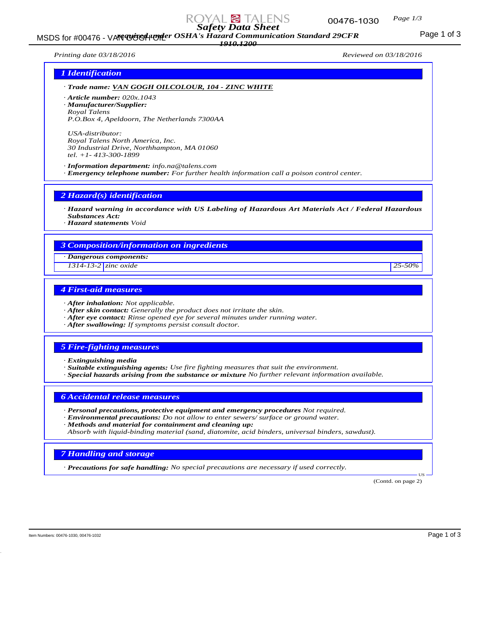

MSDS for #00476 - VAN GOGGH COSHA's Hazard Communication Standard 29CFR<br>MSDS for #00476 - VAN GOGH COSHA's Hazard Communication Standard 29CFR

*1910.1200*

*Printing date 03/18/2016 Reviewed on 03/18/2016*

## *1 Identification*

*· Trade name: VAN GOGH OILCOLOUR, 104 - ZINC WHITE*

*· Article number: 020x.1043*

*· Manufacturer/Supplier:*

*Royal Talens P.O.Box 4, Apeldoorn, The Netherlands 7300AA*

*USA-distributor: Royal Talens North America, Inc. 30 Industrial Drive, Northhampton, MA 01060 tel. +1- 413-300-1899*

*· Information department: info.na@talens.com · Emergency telephone number: For further health information call a poison control center.*

*2 Hazard(s) identification*

*· Hazard warning in accordance with US Labeling of Hazardous Art Materials Act / Federal Hazardous Substances Act:*

*· Hazard statements Void*

#### *3 Composition/information on ingredients*

*· Dangerous components:*

*1314-13-2 zinc oxide 25-50%*

# *4 First-aid measures*

- *· After inhalation: Not applicable.*
- *· After skin contact: Generally the product does not irritate the skin.*
- *· After eye contact: Rinse opened eye for several minutes under running water.*
- *· After swallowing: If symptoms persist consult doctor.*

## *5 Fire-fighting measures*

- *· Extinguishing media*
- *· Suitable extinguishing agents: Use fire fighting measures that suit the environment.*
- *· Special hazards arising from the substance or mixture No further relevant information available.*

*6 Accidental release measures*

- *· Personal precautions, protective equipment and emergency procedures Not required.*
- *· Environmental precautions: Do not allow to enter sewers/ surface or ground water.*
- *· Methods and material for containment and cleaning up:*

*Absorb with liquid-binding material (sand, diatomite, acid binders, universal binders, sawdust).*

### *7 Handling and storage*

*· Precautions for safe handling: No special precautions are necessary if used correctly.*

(Contd. on page 2)

US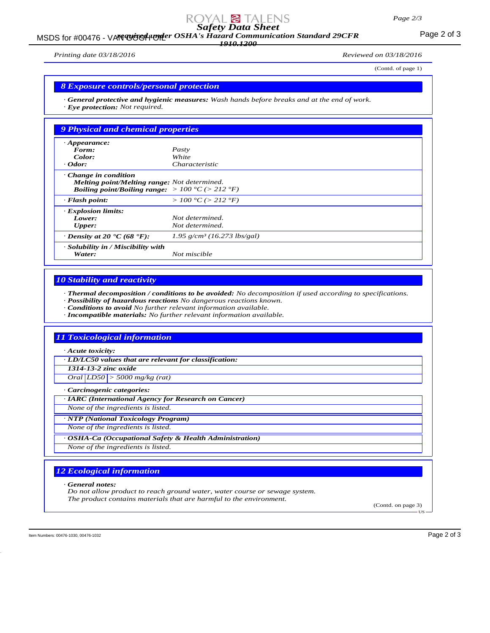# *Safety Data Sheet*

MSDS for #00476 - VAN GUGH UNDER OSHA's Hazard Communication Standard 29CFR<br>MSDS for #00476 - VAN GUGH UNDER OSHA's Hazard Communication Standard 29CFR *1910.1200*

*Printing date 03/18/2016 Reviewed on 03/18/2016*

(Contd. of page 1)

#### *8 Exposure controls/personal protection*

*· General protective and hygienic measures: Wash hands before breaks and at the end of work. · Eye protection: Not required.*

| 9 Physical and chemical properties                                                                                                                 |                                           |
|----------------------------------------------------------------------------------------------------------------------------------------------------|-------------------------------------------|
| $\cdot$ Appearance:                                                                                                                                |                                           |
| Form:                                                                                                                                              | Pasty                                     |
| Color:                                                                                                                                             | White                                     |
| $\cdot$ Odor:                                                                                                                                      | Characteristic                            |
| Change in condition<br>Melting point/Melting range: Not determined.<br><b>Boiling point/Boiling range:</b> $> 100 \degree C$ ( $> 212 \degree F$ ) |                                           |
| $\cdot$ Flash point:                                                                                                                               | > 100 °C (> 212 °F)                       |
| · Explosion limits:                                                                                                                                |                                           |
| Lower:                                                                                                                                             | Not determined.                           |
| Upper:                                                                                                                                             | Not determined.                           |
| $\cdot$ Density at 20 $\cdot$ C (68 $\cdot$ F):                                                                                                    | $1.95$ g/cm <sup>3</sup> (16.273 lbs/gal) |
| · Solubility in / Miscibility with<br>Water:                                                                                                       | Not miscible                              |

### *10 Stability and reactivity*

*· Thermal decomposition / conditions to be avoided: No decomposition if used according to specifications.*

*· Possibility of hazardous reactions No dangerous reactions known.*

*· Conditions to avoid No further relevant information available.*

*· Incompatible materials: No further relevant information available.*

### *11 Toxicological information*

*· Acute toxicity:*

*· LD/LC50 values that are relevant for classification:*

*1314-13-2 zinc oxide*

*Oral LD50 > 5000 mg/kg (rat)*

*· Carcinogenic categories:*

*· IARC (International Agency for Research on Cancer)*

*None of the ingredients is listed.*

*· NTP (National Toxicology Program)*

*None of the ingredients is listed.*

*· OSHA-Ca (Occupational Safety & Health Administration)*

*None of the ingredients is listed.*

# *12 Ecological information*

*· General notes:*

*Do not allow product to reach ground water, water course or sewage system. The product contains materials that are harmful to the environment.*

(Contd. on page 3) US